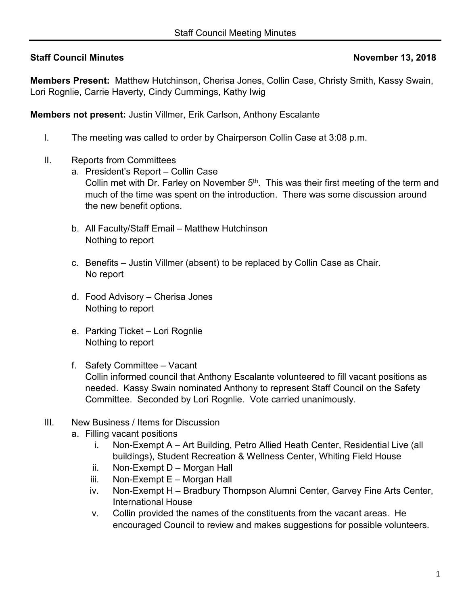## **Staff Council Minutes November 13, 2018**

**Members Present:** Matthew Hutchinson, Cherisa Jones, Collin Case, Christy Smith, Kassy Swain, Lori Rognlie, Carrie Haverty, Cindy Cummings, Kathy Iwig

**Members not present:** Justin Villmer, Erik Carlson, Anthony Escalante

- I. The meeting was called to order by Chairperson Collin Case at 3:08 p.m.
- II. Reports from Committees
	- a. President's Report Collin Case Collin met with Dr. Farley on November  $5<sup>th</sup>$ . This was their first meeting of the term and much of the time was spent on the introduction. There was some discussion around the new benefit options.
	- b. All Faculty/Staff Email Matthew Hutchinson Nothing to report
	- c. Benefits Justin Villmer (absent) to be replaced by Collin Case as Chair. No report
	- d. Food Advisory Cherisa Jones Nothing to report
	- e. Parking Ticket Lori Rognlie Nothing to report
	- f. Safety Committee Vacant Collin informed council that Anthony Escalante volunteered to fill vacant positions as needed. Kassy Swain nominated Anthony to represent Staff Council on the Safety Committee. Seconded by Lori Rognlie. Vote carried unanimously.
- III. New Business / Items for Discussion
	- a. Filling vacant positions
		- i. Non-Exempt A Art Building, Petro Allied Heath Center, Residential Live (all buildings), Student Recreation & Wellness Center, Whiting Field House
		- ii. Non-Exempt D Morgan Hall
		- iii. Non-Exempt E Morgan Hall
		- iv. Non-Exempt H Bradbury Thompson Alumni Center, Garvey Fine Arts Center, International House
		- v. Collin provided the names of the constituents from the vacant areas. He encouraged Council to review and makes suggestions for possible volunteers.